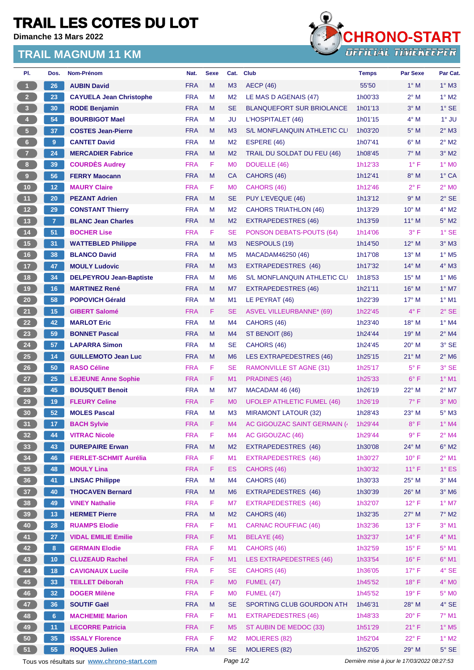## **TRAIL LES COTES DU LOT**

**Dimanche 13 Mars 2022**

## **TRAIL MAGNUM 11 KM**



| PI.             | Dos.            | Nom-Prénom                                  | Nat.       | <b>Sexe</b> | Cat.           | <b>Club</b>                       | <b>Temps</b>                                | <b>Par Sexe</b> | Par Cat.                   |
|-----------------|-----------------|---------------------------------------------|------------|-------------|----------------|-----------------------------------|---------------------------------------------|-----------------|----------------------------|
| $\vert$ 1       | 26              | <b>AUBIN David</b>                          | <b>FRA</b> | M           | M <sub>3</sub> | <b>AECP (46)</b>                  | 55'50                                       | $1^\circ$ M     | $1^\circ$ M3               |
| 2 <sup>2</sup>  | 23              | <b>CAYUELA Jean Christophe</b>              | <b>FRA</b> | M           | M <sub>2</sub> | LE MAS D AGENAIS (47)             | 1h00'33                                     | $2^{\circ}$ M   | $1^\circ$ M2               |
| 3               | 30              | <b>RODE Benjamin</b>                        | <b>FRA</b> | M           | <b>SE</b>      | <b>BLANQUEFORT SUR BRIOLANCE</b>  | 1h01'13                                     | $3^\circ$ M     | $1^\circ$ SE               |
| $\overline{4}$  | 54              | <b>BOURBIGOT Mael</b>                       | <b>FRA</b> | M           | <b>JU</b>      | L'HOSPITALET (46)                 | 1h01'15                                     | $4^\circ$ M     | $1^\circ$ JU               |
| $\sqrt{5}$      | 37              | <b>COSTES Jean-Pierre</b>                   | <b>FRA</b> | M           | M <sub>3</sub> | S/L MONFLANQUIN ATHLETIC CLI      | 1h03'20                                     | $5^\circ$ M     | $2^{\circ}$ M3             |
| $6\phantom{1}6$ | $9^{\circ}$     | <b>CANTET David</b>                         | <b>FRA</b> | M           | M <sub>2</sub> | ESPERE (46)                       | 1h07'41                                     | $6^\circ$ M     | $2^{\circ}$ M2             |
| $\overline{7}$  | 24              | <b>MERCADIER Fabrice</b>                    | <b>FRA</b> | M           | M <sub>2</sub> | TRAIL DU SOLDAT DU FEU (46)       | 1h08'45                                     | $7^\circ$ M     | $3°$ M2                    |
| 8 <sup>2</sup>  | 39              | <b>COURDÈS Audrey</b>                       | <b>FRA</b> | F           | M <sub>0</sub> | DOUELLE (46)                      | 1h12'33                                     | $1^{\circ}$ F   | $1^\circ$ MO               |
| 9 <sub>o</sub>  | 56              | <b>FERRY Maocann</b>                        | <b>FRA</b> | M           | <b>CA</b>      | CAHORS (46)                       | 1h12'41                                     | 8° M            | $1^\circ$ CA               |
| 10              | 12              | <b>MAURY Claire</b>                         | <b>FRA</b> | F           | M <sub>0</sub> | CAHORS (46)                       | 1h12'46                                     | $2^{\circ}$ F   | $2^{\circ}$ M <sub>0</sub> |
| 11              | 20              | <b>PEZANT Adrien</b>                        | <b>FRA</b> | M           | <b>SE</b>      | PUY L'EVEQUE (46)                 | 1h13'12                                     | 9° M            | $2°$ SE                    |
| 12              | 29              | <b>CONSTANT Thierry</b>                     | <b>FRA</b> | М           | M <sub>2</sub> | <b>CAHORS TRIATHLON (46)</b>      | 1h13'29                                     | $10^{\circ}$ M  | $4^{\circ}$ M2             |
| 13              | $\overline{7}$  | <b>BLANC Jean Charles</b>                   | <b>FRA</b> | M           | M <sub>2</sub> | <b>EXTRAPEDESTRES (46)</b>        | 1h13'59                                     | $11^{\circ}$ M  | $5^\circ$ M2               |
| $14$            | 51              | <b>BOCHER Lise</b>                          | <b>FRA</b> | F.          | <b>SE</b>      | <b>PONSON DEBATS-POUTS (64)</b>   | 1h14'06                                     | $3^{\circ}$ F   | $1^\circ$ SE               |
| 15              | 31              | <b>WATTEBLED Philippe</b>                   | <b>FRA</b> | M           | M3             | <b>NESPOULS (19)</b>              | 1h14'50                                     | $12^{\circ}$ M  | $3°$ M $3$                 |
| 16              | 38              | <b>BLANCO David</b>                         | <b>FRA</b> | M           | M <sub>5</sub> | MACADAM46250 (46)                 | 1h17'08                                     | $13^{\circ}$ M  | $1^\circ$ M <sub>5</sub>   |
| 17 <sub>2</sub> | 47              | <b>MOULY Ludovic</b>                        | <b>FRA</b> | M           | M <sub>3</sub> | <b>EXTRAPEDESTRES (46)</b>        | 1h17'32                                     | $14^{\circ}$ M  | $4^\circ$ M3               |
| 18              | 34              | <b>DELPEYROU Jean-Baptiste</b>              | <b>FRA</b> | М           | M <sub>6</sub> | S/L MONFLANQUIN ATHLETIC CLI      | 1h18'53                                     | $15^{\circ}$ M  | $1^\circ$ M <sub>6</sub>   |
| 19              | 16              | <b>MARTINEZ René</b>                        | <b>FRA</b> | M           | M7             | <b>EXTRAPEDESTRES (46)</b>        | 1h21'11                                     | $16^{\circ}$ M  | $1^\circ$ M7               |
| 20 <sub>2</sub> | 58              | <b>POPOVICH Gérald</b>                      | <b>FRA</b> | м           | M <sub>1</sub> | LE PEYRAT (46)                    | 1h22'39                                     | $17^\circ$ M    | $1°$ M1                    |
| 21              | 15              | <b>GIBERT Salomé</b>                        | <b>FRA</b> | F.          | <b>SE</b>      | <b>ASVEL VILLEURBANNE* (69)</b>   | 1h22'45                                     | $4^{\circ}$ F   | $2°$ SE                    |
| 22              | 42              | <b>MARLOT Eric</b>                          | <b>FRA</b> | M           | M4             | CAHORS (46)                       | 1h23'40                                     | 18° M           | $1^\circ$ M4               |
| 23              | 59              | <b>BONNET Pascal</b>                        | <b>FRA</b> | M           | M4             | ST BENOIT (86)                    | 1h24'44                                     | 19° M           | $2^{\circ}$ M4             |
| 24              | 57              | <b>LAPARRA Simon</b>                        | <b>FRA</b> | M           | <b>SE</b>      | CAHORS (46)                       | 1h24'45                                     | $20^{\circ}$ M  | 3° SE                      |
| 25              | 14              | <b>GUILLEMOTO Jean Luc</b>                  | <b>FRA</b> | M           | M <sub>6</sub> | LES EXTRAPEDESTRES (46)           | 1h25'15                                     | $21°$ M         | $2^{\circ}$ M <sub>6</sub> |
| 26              | 50              | <b>RASO Céline</b>                          | <b>FRA</b> | F.          | <b>SE</b>      | <b>RAMONVILLE ST AGNE (31)</b>    | 1h25'17                                     | $5^{\circ}$ F   | 3° SE                      |
| 27              | 25              | <b>LEJEUNE Anne Sophie</b>                  | <b>FRA</b> | F.          | M1             | PRADINES (46)                     | 1h25'33                                     | $6^{\circ}$ F   | $1°$ M1                    |
| 28              | 45              | <b>BOUSQUET Benoit</b>                      | <b>FRA</b> | M           | M7             | <b>MACADAM 46 (46)</b>            | 1h26'19                                     | 22° M           | $2^{\circ}$ M7             |
| 29              | 19              | <b>FLEURY Celine</b>                        | <b>FRA</b> | F           | M <sub>0</sub> | <b>UFOLEP ATHLETIC FUMEL (46)</b> | 1h26'19                                     | $7^\circ$ F     | $3^\circ$ MO               |
| 30              | 52              | <b>MOLES Pascal</b>                         | <b>FRA</b> | M           | M <sub>3</sub> | <b>MIRAMONT LATOUR (32)</b>       | 1h28'43                                     | $23^\circ$ M    | 5° M3                      |
| 31              | 17 <sup>2</sup> | <b>BACH Sylvie</b>                          | <b>FRA</b> | F.          | M4             | AC GIGOUZAC SAINT GERMAIN (       | 1h29'44                                     | $8^{\circ}$ F   | $1^\circ$ M4               |
| 32 <sub>2</sub> | 44              | <b>VITRAC Nicole</b>                        | <b>FRA</b> | F           | M4             | AC GIGOUZAC (46)                  | 1h29'44                                     | $9^{\circ}$ F   | $2^{\circ}$ M4             |
| 33 <sup>°</sup> | 43              | <b>DUREPAIRE Erwan</b>                      | <b>FRA</b> | M           | M <sub>2</sub> | EXTRAPEDESTRES (46)               | 1h30'08                                     | $24^{\circ}$ M  | $6^\circ$ M2               |
| 34              | 46              | <b>FIERLET-SCHMIT Aurélia</b>               | <b>FRA</b> | F           | M1             | <b>EXTRAPEDESTRES (46)</b>        | 1h30'27                                     | $10^{\circ}$ F  | $2^{\circ}$ M1             |
| 35              | 48              | <b>MOULY Lina</b>                           | <b>FRA</b> | F.          | <b>ES</b>      | CAHORS (46)                       | 1h30'32                                     | $11^{\circ}$ F  | $1^\circ$ ES               |
| 36 <sup>°</sup> | 41              | <b>LINSAC Philippe</b>                      | <b>FRA</b> | М           | M4             | CAHORS (46)                       | 1h30'33                                     | 25° M           | $3°$ M4                    |
| 37 <sup>2</sup> | 40              | <b>THOCAVEN Bernard</b>                     | <b>FRA</b> | M           | M <sub>6</sub> | <b>EXTRAPEDESTRES (46)</b>        | 1h30'39                                     | $26^{\circ}$ M  | $3^\circ$ M6               |
| 38              | 49              | <b>VINEY Nathalie</b>                       | <b>FRA</b> | F           | M7             | EXTRAPEDESTRES (46)               | 1h32'07                                     | $12^{\circ}$ F  | $1^\circ$ M7               |
| 39              | 13              | <b>HERMET Pierre</b>                        | <b>FRA</b> | M           | M <sub>2</sub> | CAHORS (46)                       | 1h32'35                                     | $27^\circ$ M    | $7^\circ$ M2               |
| 40              | 28              | <b>RUAMPS Elodie</b>                        | <b>FRA</b> | F.          | M1             | <b>CARNAC ROUFFIAC (46)</b>       | 1h32'36                                     | $13^{\circ}$ F  | $3°$ M1                    |
| 41              | 27              | <b>VIDAL EMILIE Emilie</b>                  | <b>FRA</b> | F.          | M1             | BELAYE (46)                       | 1h32'37                                     | $14^{\circ}$ F  | $4^\circ$ M1               |
| 42              | 8 <sub>1</sub>  | <b>GERMAIN Elodie</b>                       | <b>FRA</b> | $\mathsf F$ | M1             | CAHORS (46)                       | 1h32'59                                     | $15^{\circ}$ F  | $5^\circ$ M1               |
| 43              | 10 <sub>1</sub> | <b>CLUZEAUD Rachel</b>                      | <b>FRA</b> | F.          | M1             | <b>LES EXTRAPEDESTRES (46)</b>    | 1h33'54                                     | $16^{\circ}$ F  | $6^{\circ}$ M1             |
| 44              | 18              | <b>CAVIGNAUX Lucile</b>                     | <b>FRA</b> | F           | <b>SE</b>      | CAHORS (46)                       | 1h36'05                                     | $17^{\circ}$ F  | $4^\circ$ SE               |
| 45              | 33              | <b>TEILLET Déborah</b>                      | <b>FRA</b> | F           | M <sub>0</sub> | <b>FUMEL (47)</b>                 | 1h45'52                                     | $18^{\circ}$ F  | $4^\circ$ MO               |
| 46              | 32 <sub>2</sub> | <b>DOGER Milène</b>                         | <b>FRA</b> | F           | M <sub>0</sub> | <b>FUMEL (47)</b>                 | 1h45'52                                     | $19°$ F         | $5^\circ$ MO               |
| 47              | 36              | <b>SOUTIF Gaël</b>                          | <b>FRA</b> | M           | <b>SE</b>      | SPORTING CLUB GOURDON ATH         | 1h46'31                                     | 28° M           | $4^\circ$ SE               |
| 48              | 6 <sup>1</sup>  | <b>MACHEMIE Marion</b>                      | <b>FRA</b> | F           | M1             | <b>EXTRAPEDESTRES (46)</b>        | 1h48'33                                     | $20^{\circ}$ F  | $7^\circ$ M1               |
| 49              | 11              | <b>LECORRE Patricia</b>                     | <b>FRA</b> | F.          | M <sub>5</sub> | ST AUBIN DE MEDOC (33)            | 1h51'29                                     | $21^{\circ}$ F  | $1^\circ$ M <sub>5</sub>   |
| 50              | 35              | <b>ISSALY Florence</b>                      | <b>FRA</b> | F           | M <sub>2</sub> | <b>MOLIERES (82)</b>              | 1h52'04                                     | $22^{\circ}$ F  | $1^\circ$ M2               |
| 51              | 55              | <b>ROQUES Julien</b>                        | <b>FRA</b> | M           | <b>SE</b>      | <b>MOLIERES (82)</b>              | 1h52'05                                     | 29° M           | $5^\circ$ SE               |
|                 |                 | Tous vos résultats sur www.chrono-start.com |            |             | Page 1/2       |                                   | Dernière mise à jour le 17/03/2022 08:27:53 |                 |                            |